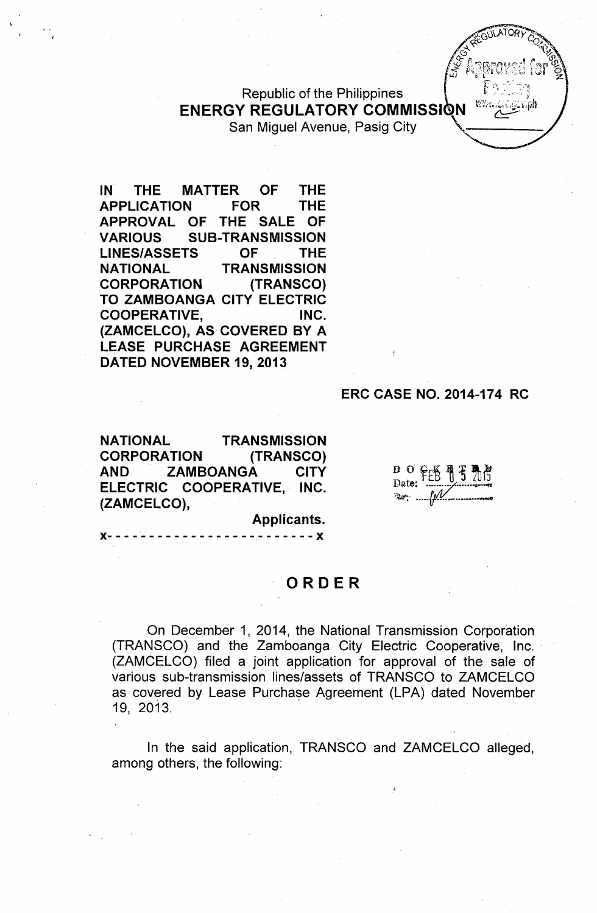Republic of the Philippines **ENERGY REGULATORY COMMISSI** San Miguel Avenue, Pasig City

**IN THE MATTER OF THE APPLICATION FOR THE APPROVAL OF THE SALE OF VARIOUS SUB-TRANSMISSION LINES/ASSETS OF THE NATIONAL TRANSMISSION CORPORATION (TRANSCO) TO ZAMBOANGA CITY ELECTRIC COOPERATIVE, INC. (ZAMCELCO), AS COVERED BY A LEASE PURCHASE AGREEMENT DATED NOVEMBER 19, 2013**

### **ERC CASE NO. 2014-174 RC**

**NATIONAL TRANSMISSION CORPORATION** (TRANSCO) **ZAMBOANGA** AND **CITY** ELECTRIC COOPERATIVE, INC. (ZAMCELCO),

 $D$  of  $F \oplus F$ Date: ™∵…… [*N*!

Applicants.

--------*---------*X

# **ORDER**

On December 1, 2014, the National Transmission Corporation (TRANSCO) and the Zamboanga City Electric Cooperative, Inc.. (ZAMCELCO) filed a joint application for approval of the sale of various sub-transmission lines/assets of TRANSCO to ZAMCELCO as covered by Lease Purchase Agreement (LPA) dated November 19, 2013.

In the said application, TRANSCO and ZAMCELCO alleged, among others, the following: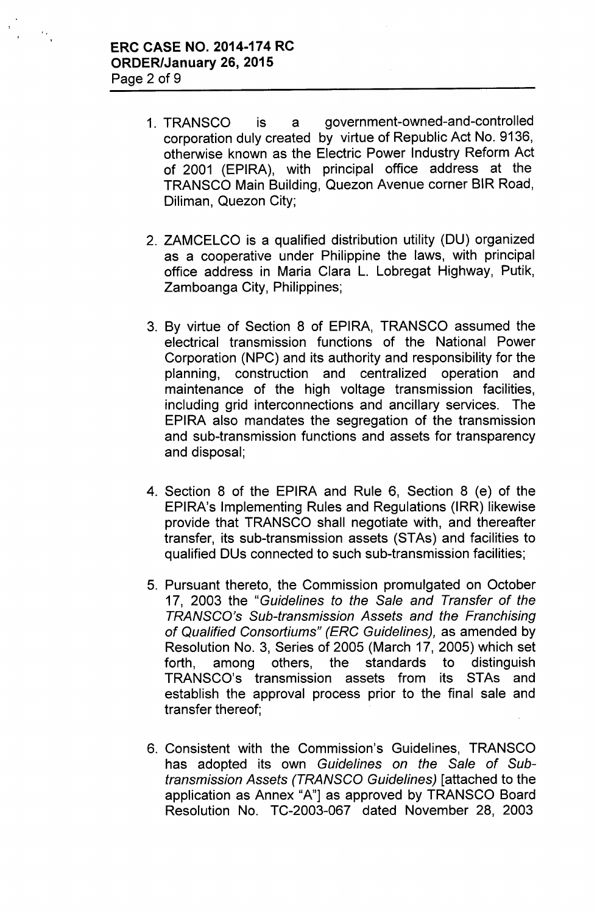, ,

- 1. TRANSCO is a government-owned-and-controlled corporation duly created by virtue of Republic Act No. 9136, otherwise known as the Electric Power Industry Reform Act of 2001 (EPIRA), with principal office address at the TRANSCO Main Building, Quezon Avenue corner BIR Road, Diliman, Quezon City;
- 2. ZAMCELCO is a qualified distribution utility (DU) organized as a cooperative under Philippine the laws, with principal office address in Maria Clara L. Lobregat Highway, Putik, Zamboanga City, Philippines;
- 3. By virtue of Section 8 of EPIRA, TRANSCO assumed the electrical transmission functions of the National Power Corporation (NPC) and its authority and responsibility for the planning, construction and centralized operation and maintenance of the high voltage transmission facilities, including grid interconnections and ancillary services. The EPIRA also mandates the segregation of the transmission and sub-transmission functions and assets for transparency and disposal;
- 4. Section 8 of the EPIRA and Rule 6, Section 8 (e) of the EPIRA's Implementing Rules and Regulations (IRR) likewise provide that TRANSCO shall negotiate with, and thereafter transfer, its sub-transmission assets (STAs) and facilities to qualified DUs connected to such sub-transmission facilities;
- 5. Pursuant thereto, the Commission promulgated on October 17, 2003 the *"Guidelines to the Sale and Transfer* of *the TRANSCO's Sub-transmission Assets and the Franchising* of *Qualified Consortiums" (ERC Guidelines),* as amended by Resolution No.3, Series of 2005 (March 17, 2005) which set forth, among others, the standards to distinguish TRANSCO's transmission assets from its STAs and establish the approval process prior to the final sale and transfer thereof;
- 6. Consistent with the Commission's Guidelines, TRANSCO has adopted its own *Guidelines on the Sale* of *Subtransmission Assets (TRANSCO Guidelines)* [attached to the application as Annex "A"] as approved by TRANSCO Board Resolution No. TC-2003-067 dated November 28, 2003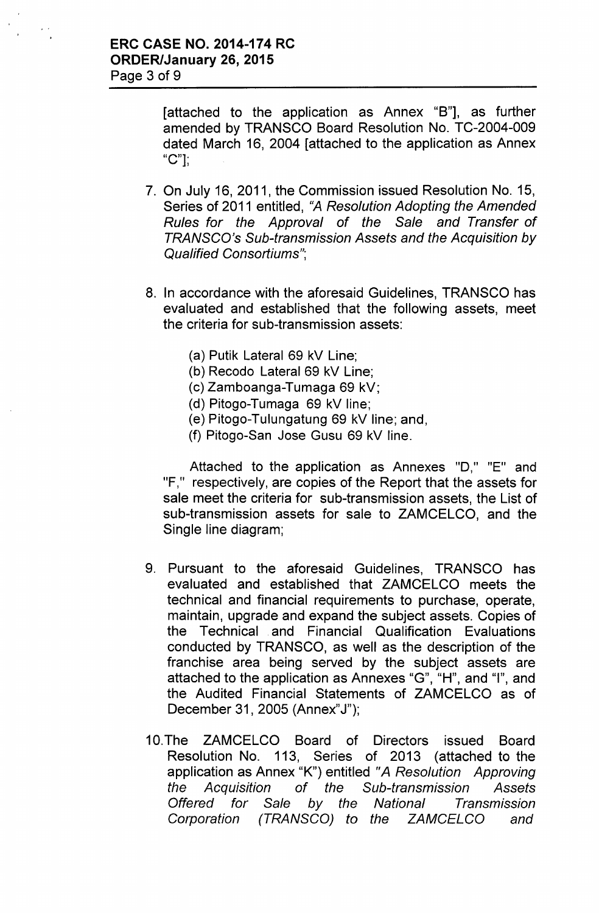[attached to the application as Annex "B"], as further amended by TRANSCO Board Resolution No. TC-2004-009 dated March 16, 2004 [attached to the application as Annex "C"];

- 7. On July 16, 2011, the Commission issued Resolution No. 15, Series of 2011 entitled, *tlA Resolution Adopting the Amended Rules for the Approval of the Sale and Transfer of TRANSCO's Sub-transmission Assets and the Acquisition by Qualified Consortiums";*
- 8. In accordance with the aforesaid Guidelines, TRANSCO has evaluated and established that the following assets, meet the criteria for sub-transmission assets:
	- (a) Putik Lateral 69 kV Line;
	- (b) Recodo Lateral 69 kV Line;
	- (c) Zamboanga-Tumaga 69 kV;
	- (d) Pitogo-Tumaga 69 kV line;
	- (e) Pitogo-Tulungatung 69 kV line; and,
	- (f) Pitogo-San Jose Gusu 69 kV line.

Attached to the application as Annexes "0," "E" and "F," respectively, are copies of the Report that the assets for sale meet the criteria for sub-transmission assets, the List of sub-transmission assets for sale to ZAMCELCO, and the Single line diagram;

- 9. Pursuant to the aforesaid Guidelines, TRANSCO has evaluated and established that ZAMCELCO meets the technical and financial requirements to purchase, operate, maintain, upgrade and expand the subject assets. Copies of the Technical and Financial Qualification Evaluations conducted by TRANSCO, as well as the description of the franchise area being served by the subject assets are attached to the application as Annexes "G", "H", and "I", and the Audited Financial Statements of ZAMCELCO as of December 31, 2005 (Annex"J");
- 1O.The ZAMCELCO Board of Directors issued Board Resolution No. 113, Series of 2013 (attached to the application as Annex "K") entitled *"A Resolution Approving the Acquisition of the Sub-transmission Assets Offered for Sale by the National Transmission Corporation (TRANSCO) to the ZAMCELCO and*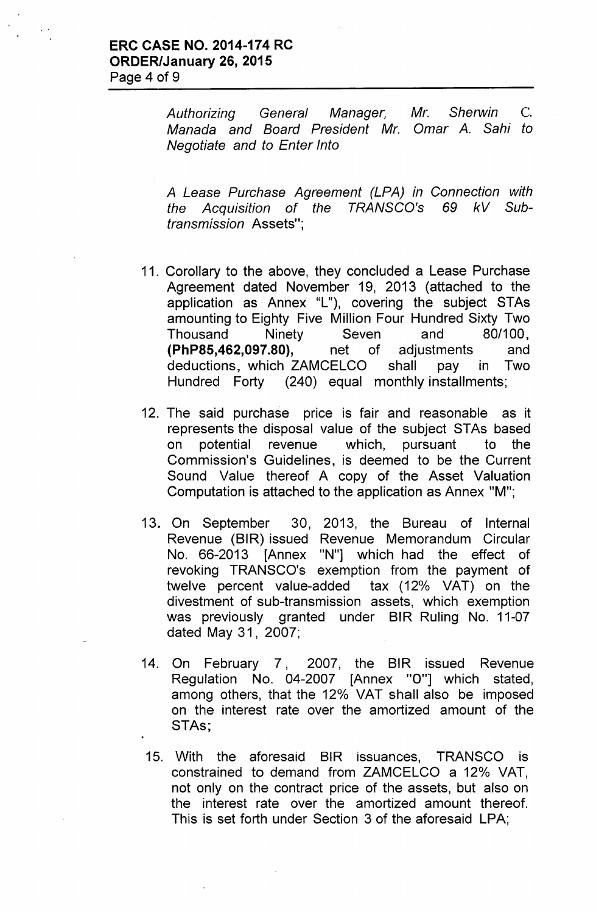*Authorizing General Manager, Mr. Sherwin* C. *Manada and Board President Mr. Omar A. Sahi to Negotiate and to Enter Into*

*A Lease Purchase Agreement (LPA) in Connection with the Acquisition* of *the TRANSCO's* 69 *kV Subtransmission* Assets";

- 11. Corollary to the above, they concluded a lease Purchase Agreement dated November 19, 2013 (attached to the application as Annex "L"), covering the subject STAs amounting to Eighty Five Million Four Hundred Sixty Two Thousand Ninety Seven and 80/100, **(PhP85,462,097.80),** net of adjustments and deductions, which ZAMCElCO shall pay in Two Hundred Forty (240) equal monthly installments;
- 12. The said purchase price is fair and reasonable as it represents the disposal value of the subject STAs based on potential revenue which, pursuant to the Commission's Guidelines, is deemed to be the Current Sound Value thereof A copy of the Asset Valuation Computation is attached to the application as Annex "M";
- 13. On September 30, 2013, the Bureau of Internal Revenue (BIR) issued Revenue Memorandum Circular No. 66-2013 [Annex "N"] which had the effect of revoking TRANSCO's exemption from the payment of twelve percent value-added tax (12% VAT) on the divestment of sub-transmission assets, which exemption was previously granted under BIR Ruling No. 11-07 dated May 31, 2007;
- 14. On February 7, 2007, the BIR issued Revenue Regulation No. 04-2007 [Annex "0"] which stated, among others, that the 12% VAT shall also be imposed on the interest rate over the amortized amount of the STAs;
- 15. With the aforesaid BIR issuances, TRANSCO is constrained to demand from ZAMCElCO a 12% VAT, not only on the contract price of the assets, but also on the interest rate over the amortized amount thereof. This is set forth under Section 3 of the aforesaid LPA;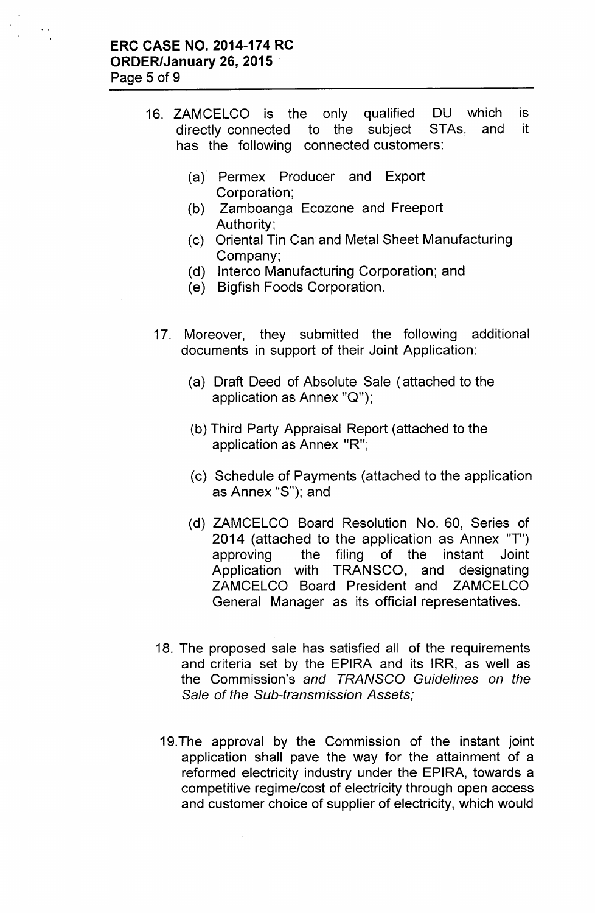- 16. ZAMCELCO is the only qualified DU which is directly connected to the subject STAs, and it has the following connected customers:
	- (a) Permex Producer and Export Corporation;
	- (b) Zamboanga Ecozone and Freeport Authority;
	- (c) Oriental Tin Can and Metal Sheet Manufacturing Company;
	- (d) Interco Manufacturing Corporation; and
	- *(e)* Bigfish Foods Corporation.
	- 17. Moreover, they submitted the following additional documents in support of their Joint Application:
		- (a) Draft Deed of Absolute Sale (attached to the application as Annex "Q");
		- (b) Third Party Appraisal Report (attached to the application as Annex "R";
		- (c) Schedule of Payments (attached to the application as Annex "S"); and
		- (d) ZAMCELCO Board Resolution No. 60, Series of 2014 (attached to the application as Annex "T") approving the filing of the instant Joint Application with TRANSCO, and designating ZAMCELCO Board President and ZAMCELCO General Manager as its official representatives.
	- 18. The proposed sale has satisfied all of the requirements and criteria set by the EPIRA and its IRR, as well as the Commission's *and TRANSCO Guidelines on the Sale* of *the Sub-transmission* Assets;
	- 19.The approval by the Commission of the instant joint application shall pave the way for the attainment of a reformed electricity industry under the EPIRA, towards a competitive regime/cost of electricity through open access and customer choice of supplier of electricity, which would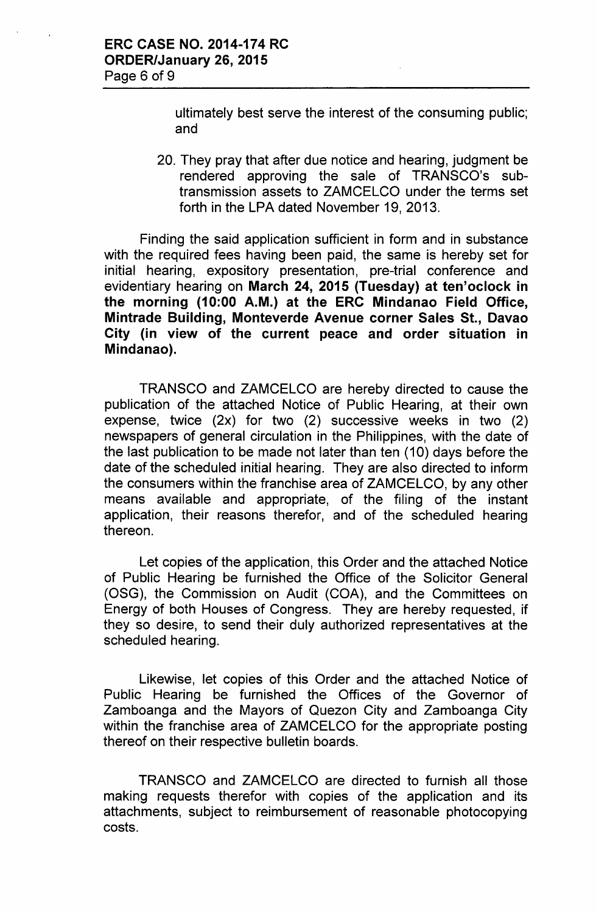ultimately best serve the interest of the consuming public; and

20. They pray that after due notice and hearing, judgment be rendered approving the sale of TRANSCO's subtransmission assets to ZAMCELCO under the terms set forth in the LPA dated November 19, 2013.

Finding the said application sufficient in form and in substance with the required fees having been paid, the same is hereby set for initial hearing, expository presentation, pre-trial conference and evidentiary hearing on March 24, 2015 (Tuesday) at ten'oclock in the morning (10:00 A.M.) at the ERC Mindanao Field Office, Mintrade Building, Monteverde Avenue corner Sales St., Davao City (in view of the current peace and order situation in Mindanao).

TRANSCO and ZAMCELCO are hereby directed to cause the publication of the attached Notice of Public Hearing, at their own expense, twice (2x) for two (2) successive weeks in two (2) newspapers of general circulation in the Philippines, with the date of the last publication to be made not later than ten (10) days before the date of the scheduled initial hearing. They are also directed to inform the consumers within the franchise area of ZAMCELCO, by any other means available and appropriate, of the filing of the instant application, their reasons therefor, and of the scheduled hearing thereon.

Let copies of the application, this Order and the attached Notice of Public Hearing be furnished the Office of the Solicitor General (OSG), the Commission on Audit (COA), and the Committees on Energy of both Houses of Congress. They are hereby requested, if they so desire, to send their duly authorized representatives at the scheduled hearing.

Likewise, let copies of this Order and the attached Notice of Public Hearing be furnished the Offices of the Governor of Zamboanga and the Mayors of Quezon City and Zamboanga City within the franchise area of ZAMCELCO for the appropriate posting thereof on their respective bulletin boards.

TRANSCO and ZAMCELCO are directed to furnish all those making requests therefor with copies of the application and its attachments, subject to reimbursement of reasonable photocopying costs.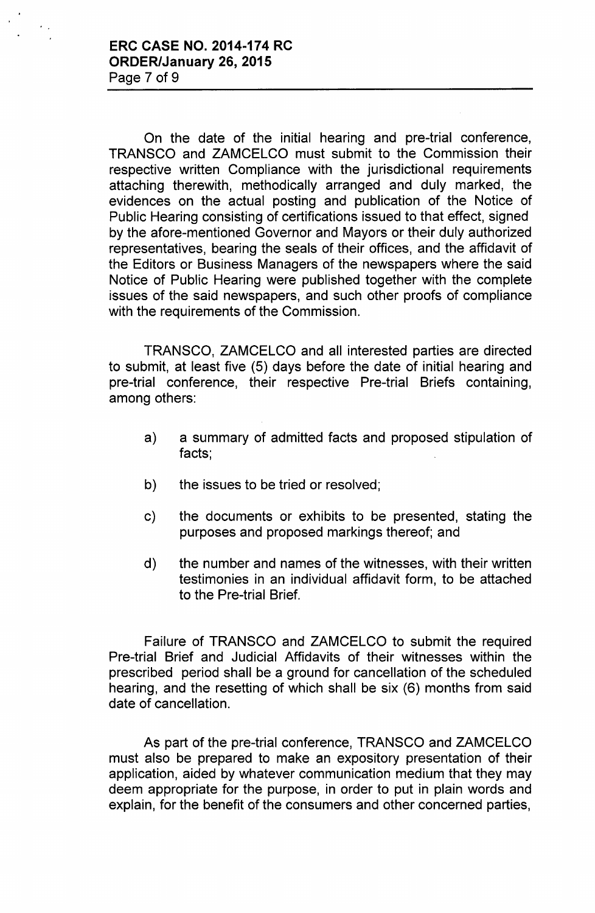On the date of the initial hearing and pre-trial conference, TRANSCO and ZAMCELCO must submit to the Commission their respective written Compliance with the jurisdictional requirements attaching therewith, methodically arranged and duly marked, the evidences on the actual posting and publication of the Notice of Public Hearing consisting of certifications issued to that effect, signed by the afore-mentioned Governor and Mayors or their duly authorized representatives, bearing the seals of their offices, and the affidavit of the Editors or Business Managers of the newspapers where the said Notice of Public Hearing were published together with the complete issues of the said newspapers, and such other proofs of compliance with the requirements of the Commission.

TRANSCO, ZAMCELCO and all interested parties are directed to submit, at least five (5) days before the date of initial hearing and pre-trial conference, their respective Pre-trial Briefs containing, among others:

- a) a summary of admitted facts and proposed stipulation of facts;
- b) the issues to be tried or resolved;
- c) the documents or exhibits to be presented, stating the purposes and proposed markings thereof; and
- d) the number and names of the witnesses, with their written testimonies in an individual affidavit form, to be attached to the Pre-trial Brief.

Failure of TRANSCO and ZAMCELCO to submit the required Pre-trial Brief and Judicial Affidavits of their witnesses within the prescribed period shall be a ground for cancellation of the scheduled hearing, and the resetting of which shall be six (6) months from said date of cancellation.

As part of the pre-trial conference, TRANSCO and ZAMCELCO must also be prepared to make an expository presentation of their application, aided by whatever communication medium that they may deem appropriate for the purpose, in order to put in plain words and explain, for the benefit of the consumers and other concerned parties,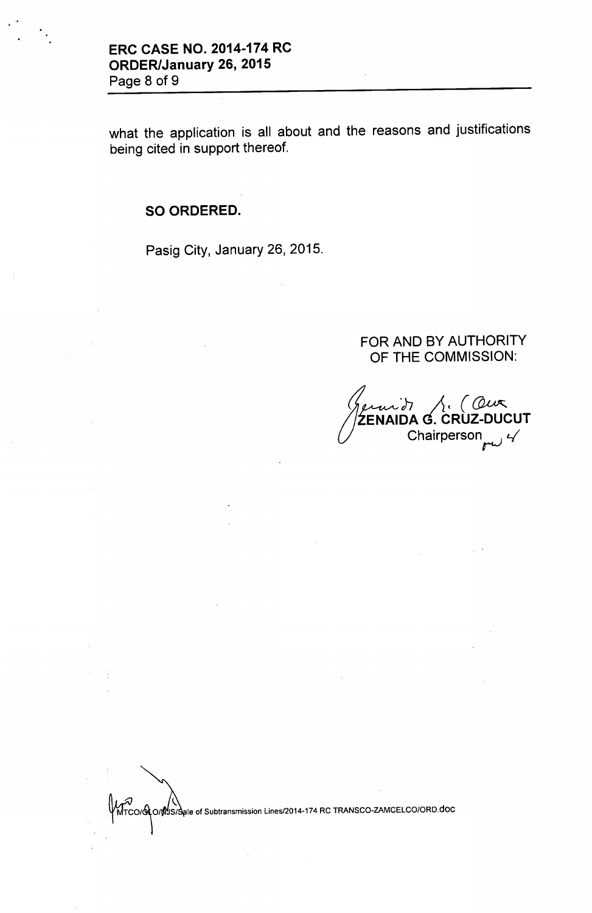what the application is all about and the reasons and justifications being cited in support thereof.

# SO ORDERED.

Pasig City, January 26, 2015.

## FOR AND BY AUTHORITY OF THE COMMISSION:

*J*<br>*J*<br>ZE oj-; *A (~* ŹENAIDA G. CRÙZ-DUCL Chairperson

MTCO/O O/MUS/Sale of Subtransmission Lines/2014-174 RC TRANSCO-ZAMCELCO/ORD.doc